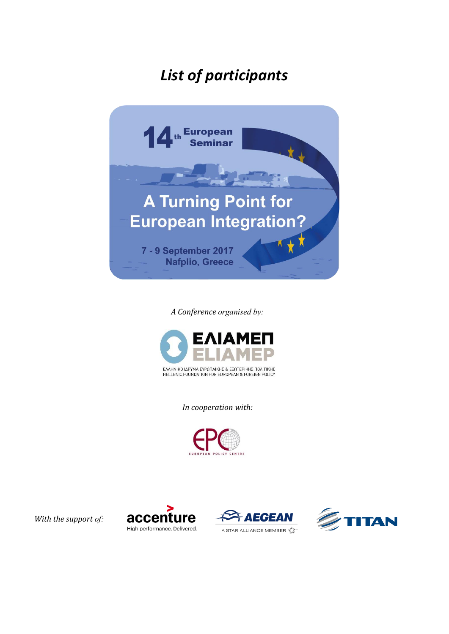## *List of participants*



*A Conference organised by:*



*In cooperation with:*



*With the support of:*





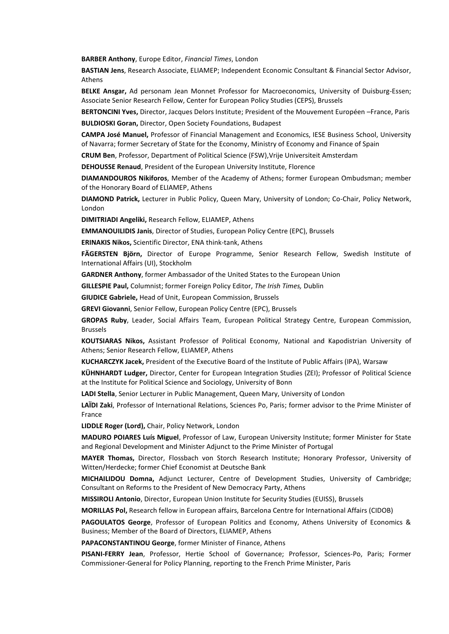**BARBER Anthony**, Europe Editor, *Financial Times*, London

**BASTIAN Jens**, Research Associate, ELIAMEP; Independent Economic Consultant & Financial Sector Advisor, Athens

**BELKE Ansgar,** Ad personam Jean Monnet Professor for Macroeconomics, University of Duisburg-Essen; Associate Senior Research Fellow, Center for European Policy Studies (CEPS), Brussels

**BERTONCINI Yves,** Director, Jacques Delors Institute; President of the Mouvement Européen –France, Paris

**BULDIOSKI Goran,** Director, Open Society Foundations, Budapest

**CAMPA José Manuel,** Professor of Financial Management and Economics, IESE Business School, University of Navarra; former Secretary of State for the Economy, Ministry of Economy and Finance of Spain

**CRUM Ben**, Professor, Department of Political Science (FSW),Vrije Universiteit Amsterdam

**DEHOUSSE Renaud**, President of the European University Institute, Florence

**DIAMANDOUROS Nikiforos**, Member of the Academy of Athens; former European Ombudsman; member of the Honorary Board of ELIAMEP, Athens

**DIAMOND Patrick,** Lecturer in Public Policy, Queen Mary, University of London; Co-Chair, Policy Network, London

**DIMITRIADI Angeliki,** Research Fellow, ELIAMEP, Athens

**EMMANOUILIDIS Janis**, Director of Studies, European Policy Centre (EPC), Brussels

**ERINAKIS Nikos,** Scientific Director, ENA think-tank, Athens

**FÄGERSTEN Björn,** Director of Europe Programme, Senior Research Fellow, Swedish Institute of International Affairs (UI), Stockholm

**GARDNER Anthony**, former Ambassador of the United States to the European Union

**GILLESPIE Paul,** Columnist; former Foreign Policy Editor, *The Irish Times,* Dublin

**GIUDICE Gabriele,** Head of Unit, European Commission, Brussels

**GREVI Giovanni**, Senior Fellow, European Policy Centre (EPC), Brussels

**GROPAS Ruby**, Leader, Social Affairs Team, European Political Strategy Centre, European Commission, Brussels

**KOUTSIARAS Nikos,** Assistant Professor of Political Economy, National and Kapodistrian University of Athens; Senior Research Fellow, ELIAMEP, Athens

**KUCHARCZYK Jacek,** President of the Executive Board of the Institute of Public Affairs (IPA), Warsaw

**KÜHNHARDT Ludger,** Director, Center for European Integration Studies (ZEI); Professor of Political Science at the Institute for Political Science and Sociology, University of Bonn

**LADI Stella**, Senior Lecturer in Public Management, Queen Mary, University of London

**LAÏDI Zaki**, Professor of International Relations, Sciences Po, Paris; former advisor to the Prime Minister of France

**LIDDLE Roger (Lord),** Chair, Policy Network, London

**MADURO POIARES Luís Miguel**, Professor of Law, European University Institute; former Minister for State and Regional Development and Minister Adjunct to the Prime Minister of Portugal

**MAYER Thomas,** Director, Flossbach von Storch Research Institute; Honorary Professor, University of Witten/Herdecke; former Chief Economist at Deutsche Bank

**MICHAILIDOU Domna,** Adjunct Lecturer, Centre of Development Studies, University of Cambridge; Consultant on Reforms to the President of New Democracy Party, Athens

**MISSIROLI Antonio**, Director, European Union Institute for Security Studies (EUISS), Brussels

**MORILLAS Pol,** Research fellow in European affairs, Barcelona Centre for International Affairs (CIDOB)

**PAGOULATOS George**, Professor of European Politics and Economy, Athens University of Economics & Business; Member of the Board of Directors, ELIAMEP, Athens

**PAPACONSTANTINOU George**, former Minister of Finance, Athens

**PISANI-FERRY Jean**, Professor, Hertie School of Governance; Professor, Sciences-Po, Paris; Former Commissioner-General for Policy Planning, reporting to the French Prime Minister, Paris